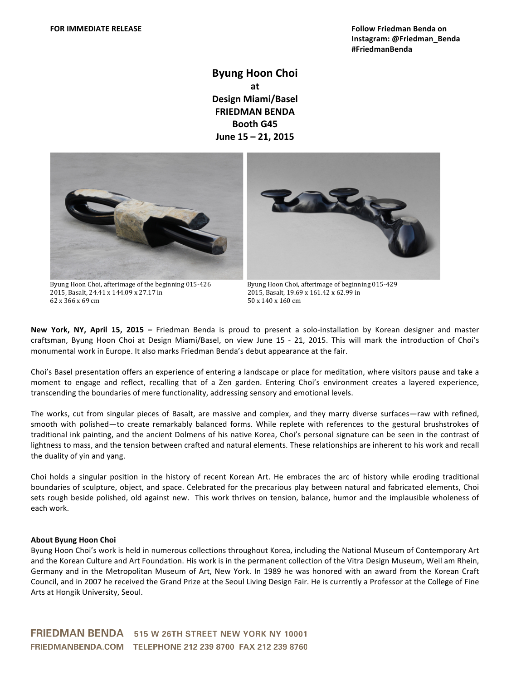**Byung Hoon Choi at Design\$Miami/Basel FRIEDMAN BENDA Booth G45 June 15 – 21, 2015** 





Byung Hoon Choi, afterimage of the beginning 015-426 Byung Hoon Choi, afterimage of beginning 015-429 2015, Basalt, 24.41 x 144.09 x 27.17 in 2015, Basalt, 19.69 x 161.42 x 62.99 in 62 x 366 x 69 cm  $50 \times 140 \times 160$  cm

New York, NY, April 15, 2015 - Friedman Benda is proud to present a solo-installation by Korean designer and master craftsman, Byung Hoon Choi at Design Miami/Basel, on view June 15 - 21, 2015. This will mark the introduction of Choi's monumental work in Europe. It also marks Friedman Benda's debut appearance at the fair.

Choi's Basel presentation offers an experience of entering a landscape or place for meditation, where visitors pause and take a moment to engage and reflect, recalling that of a Zen garden. Entering Choi's environment creates a layered experience, transcending the boundaries of mere functionality, addressing sensory and emotional levels.

The works, cut from singular pieces of Basalt, are massive and complex, and they marry diverse surfaces—raw with refined, smooth with polished—to create remarkably balanced forms. While replete with references to the gestural brushstrokes of traditional ink painting, and the ancient Dolmens of his native Korea, Choi's personal signature can be seen in the contrast of lightness to mass, and the tension between crafted and natural elements. These relationships are inherent to his work and recall the duality of yin and yang.

Choi holds a singular position in the history of recent Korean Art. He embraces the arc of history while eroding traditional boundaries of sculpture, object, and space. Celebrated for the precarious play between natural and fabricated elements, Choi sets rough beside polished, old against new. This work thrives on tension, balance, humor and the implausible wholeness of each work.

## **About Byung Hoon Choi**

Byung Hoon Choi's work is held in numerous collections throughout Korea, including the National Museum of Contemporary Art and the Korean Culture and Art Foundation. His work is in the permanent collection of the Vitra Design Museum, Weil am Rhein, Germany and in the Metropolitan Museum of Art, New York. In 1989 he was honored with an award from the Korean Craft Council, and in 2007 he received the Grand Prize at the Seoul Living Design Fair. He is currently a Professor at the College of Fine Arts at Hongik University, Seoul.